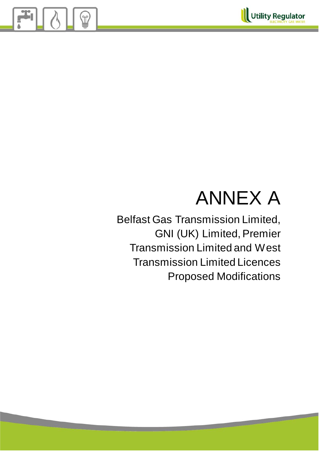

# ANNEX A

Belfast Gas Transmission Limited, GNI (UK) Limited, Premier Transmission Limited and West Transmission Limited Licences Proposed Modifications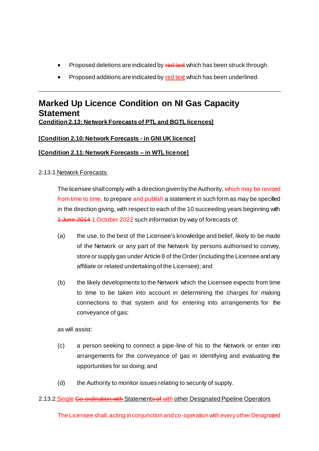- Proposed deletions are indicated by red text which has been struck through.
- Proposed additions are indicated by red text which has been underlined.

## **Marked Up Licence Condition on NI Gas Capacity Statement Condition 2.13: Network Forecasts of PTL and BGTL licences]**

## **[Condition 2.10: Network Forecasts - in GNI UK licence]**

## **[Condition 2.11: Network Forecasts – in WTL licence]**

## 2.13.1 Network Forecasts

The licensee shall comply with a direction given by the Authority, which may be revised from time to time, to prepare and publish a statement in such form as may be specified in the direction giving, with respect to each of the 10 succeeding years beginning with 1 June 2014 1 October 2022 such information by way of forecasts of:

- (a) the use, to the best of the Licensee's knowledge and belief, likely to be made of the Network or any part of the Network by persons authorised to convey, store or supply gas under Article 8 of the Order (including the Licensee and any affiliate or related undertaking of the Licensee); and
- (b) the likely developments to the Network which the Licensee expects from time to time to be taken into account in determining the charges for making connections to that system and for entering into arrangements for the conveyance of gas;

as will assist:

- (c) a person seeking to connect a pipe-line of his to the Network or enter into arrangements for the conveyance of gas in identifying and evaluating the opportunities for so doing; and
- (d) the Authority to monitor issues relating to security of supply.

#### 2.13.2 Single Go-ordination with Statements of with other Designated Pipeline Operators

The Licensee shall, acting in conjunction and co-operation with every other Designated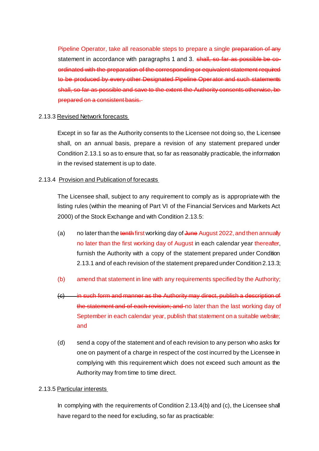Pipeline Operator, take all reasonable steps to prepare a single preparation of any statement in accordance with paragraphs 1 and 3. shall, so far as possible be coordinated with the preparation of the corresponding or equivalent statement required to be produced by every other Designated Pipeline Operator and such statements shall, so far as possible and save to the extent the Authority consents otherwise, be prepared on a consistent basis.

#### 2.13.3 Revised Network forecasts

Except in so far as the Authority consents to the Licensee not doing so, the Licensee shall, on an annual basis, prepare a revision of any statement prepared under Condition 2.13.1 so as to ensure that, so far as reasonably practicable, the information in the revised statement is up to date.

#### 2.13.4 Provision and Publication of forecasts

The Licensee shall, subject to any requirement to comply as is appropriate with the listing rules (within the meaning of Part VI of the Financial Services and Markets Act 2000) of the Stock Exchange and with Condition 2.13.5:

- (a) no later than the tenth first working day of June August 2022, and then annually no later than the first working day of August in each calendar year thereafter, furnish the Authority with a copy of the statement prepared under Condition 2.13.1 and of each revision of the statement prepared under Condition 2.13.3;
- (b) amend that statement in line with any requirements specified by the Authority;
- (c) in such form and manner as the Authority may direct, publish a description of the statement and of each revision; and no later than the last working day of September in each calendar year, publish that statement on a suitable website; and
- (d) send a copy of the statement and of each revision to any person who asks for one on payment of a charge in respect of the cost incurred by the Licensee in complying with this requirement which does not exceed such amount as the Authority may from time to time direct.

#### 2.13.5 Particular interests

In complying with the requirements of Condition 2.13.4(b) and (c), the Licensee shall have regard to the need for excluding, so far as practicable: